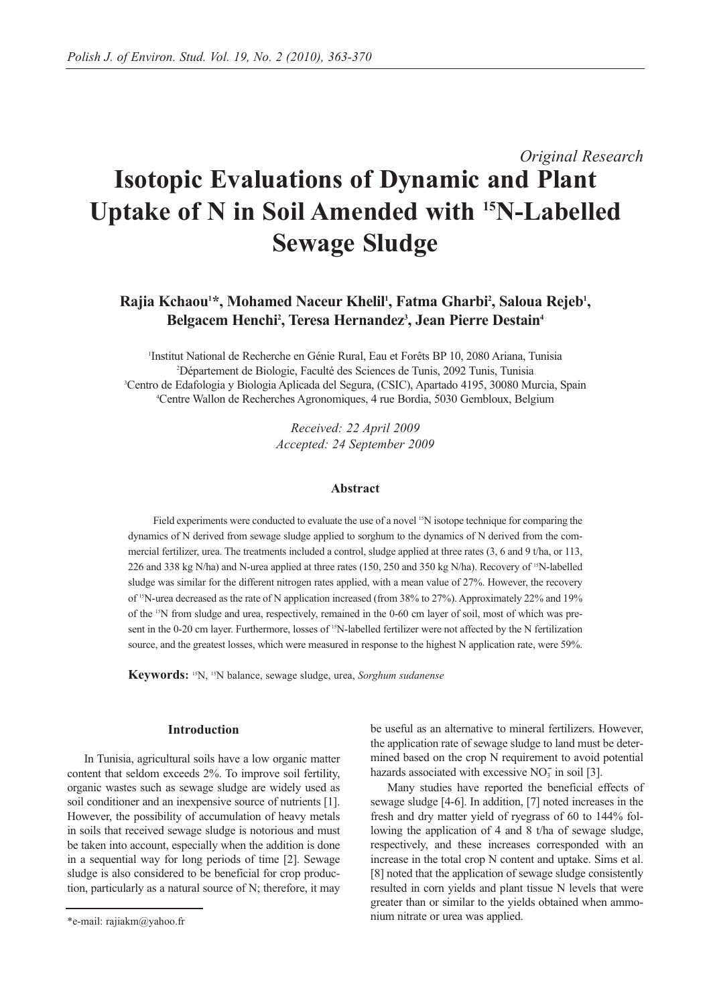# *Original Research* **Isotopic Evaluations of Dynamic and Plant Uptake of N in Soil Amended with 15N-Labelled Sewage Sludge**

## Rajia Kchaou<sup>1\*</sup>, Mohamed Naceur Khelil<sup>1</sup>, Fatma Gharbi<sup>2</sup>, Saloua Rejeb<sup>1</sup>, Belgacem Henchi<sup>2</sup>, Teresa Hernandez<sup>3</sup>, Jean Pierre Destain<sup>4</sup>

 Institut National de Recherche en Génie Rural, Eau et Forêts BP 10, 2080 Ariana, Tunisia Département de Biologie, Faculté des Sciences de Tunis, 2092 Tunis, Tunisia Centro de Edafologia y Biologia Aplicada del Segura, (CSIC), Apartado 4195, 30080 Murcia, Spain Centre Wallon de Recherches Agronomiques, 4 rue Bordia, 5030 Gembloux, Belgium

> *Received: 22 April 2009 Accepted: 24 September 2009*

## **Abstract**

Field experiments were conducted to evaluate the use of a novel <sup>15</sup>N isotope technique for comparing the dynamics of N derived from sewage sludge applied to sorghum to the dynamics of N derived from the commercial fertilizer, urea. The treatments included a control, sludge applied at three rates (3, 6 and 9 t/ha, or 113, 226 and 338 kg N/ha) and N-urea applied at three rates (150, 250 and 350 kg N/ha). Recovery of 15N-labelled sludge was similar for the different nitrogen rates applied, with a mean value of 27%. However, the recovery of 15N-urea decreased as the rate of N application increased (from 38% to 27%). Approximately 22% and 19% of the 15N from sludge and urea, respectively, remained in the 0-60 cm layer of soil, most of which was present in the 0-20 cm layer. Furthermore, losses of <sup>15</sup>N-labelled fertilizer were not affected by the N fertilization source, and the greatest losses, which were measured in response to the highest N application rate, were 59%.

**Keywords:** 15N, 15N balance, sewage sludge, urea, *Sorghum sudanense*

## **Introduction**

In Tunisia, agricultural soils have a low organic matter content that seldom exceeds 2%. To improve soil fertility, organic wastes such as sewage sludge are widely used as soil conditioner and an inexpensive source of nutrients [1]. However, the possibility of accumulation of heavy metals in soils that received sewage sludge is notorious and must be taken into account, especially when the addition is done in a sequential way for long periods of time [2]. Sewage sludge is also considered to be beneficial for crop production, particularly as a natural source of N; therefore, it may be useful as an alternative to mineral fertilizers. However, the application rate of sewage sludge to land must be determined based on the crop N requirement to avoid potential hazards associated with excessive  $NO<sub>3</sub>$  in soil [3].

Many studies have reported the beneficial effects of sewage sludge [4-6]. In addition, [7] noted increases in the fresh and dry matter yield of ryegrass of 60 to 144% following the application of 4 and 8 t/ha of sewage sludge, respectively, and these increases corresponded with an increase in the total crop N content and uptake. Sims et al. [8] noted that the application of sewage sludge consistently resulted in corn yields and plant tissue N levels that were greater than or similar to the yields obtained when ammonium nitrate or urea was applied.

<sup>\*</sup>e-mail: rajiakm@yahoo.fr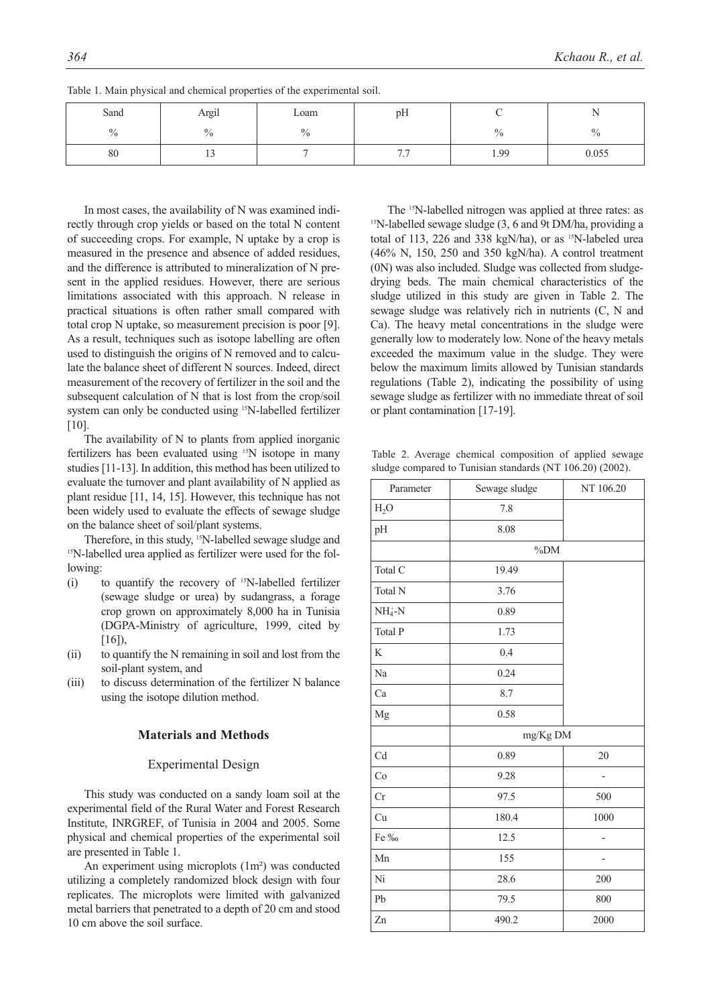| Sand          | Argil          | $\mathbf{r}$<br>Loam<br>pН |                          |                | $\sim$ $\sim$<br>. . |
|---------------|----------------|----------------------------|--------------------------|----------------|----------------------|
| $\frac{0}{0}$ | $\frac{0}{0}$  | $\frac{0}{0}$              |                          | $\Omega$<br>70 | $\frac{0}{0}$        |
| 80            | $\overline{1}$ |                            | - -<br>$\cdot$ . $\cdot$ | 1.99           | 0.055                |

Table 1. Main physical and chemical properties of the experimental soil.

In most cases, the availability of N was examined indirectly through crop yields or based on the total N content of succeeding crops. For example, N uptake by a crop is measured in the presence and absence of added residues, and the difference is attributed to mineralization of N present in the applied residues. However, there are serious limitations associated with this approach. N release in practical situations is often rather small compared with total crop N uptake, so measurement precision is poor [9]. As a result, techniques such as isotope labelling are often used to distinguish the origins of N removed and to calculate the balance sheet of different N sources. Indeed, direct measurement of the recovery of fertilizer in the soil and the subsequent calculation of N that is lost from the crop/soil system can only be conducted using 15N-labelled fertilizer [10].

The availability of N to plants from applied inorganic fertilizers has been evaluated using 15N isotope in many studies [11-13]. In addition, this method has been utilized to evaluate the turnover and plant availability of N applied as plant residue [11, 14, 15]. However, this technique has not been widely used to evaluate the effects of sewage sludge on the balance sheet of soil/plant systems.

Therefore, in this study, <sup>15</sup>N-labelled sewage sludge and <sup>15</sup>N-labelled urea applied as fertilizer were used for the following:

- (i) to quantify the recovery of 15N-labelled fertilizer (sewage sludge or urea) by sudangrass, a forage crop grown on approximately 8,000 ha in Tunisia (DGPA-Ministry of agriculture, 1999, cited by [16]).
- (ii) to quantify the N remaining in soil and lost from the soil-plant system, and
- (iii) to discuss determination of the fertilizer N balance using the isotope dilution method.

#### **Materials and Methods**

## Experimental Design

This study was conducted on a sandy loam soil at the experimental field of the Rural Water and Forest Research Institute, INRGREF, of Tunisia in 2004 and 2005. Some physical and chemical properties of the experimental soil are presented in Table 1.

An experiment using microplots (1m²) was conducted utilizing a completely randomized block design with four replicates. The microplots were limited with galvanized metal barriers that penetrated to a depth of 20 cm and stood 10 cm above the soil surface.

The 15N-labelled nitrogen was applied at three rates: as  $15$ N-labelled sewage sludge (3, 6 and 9t DM/ha, providing a total of 113, 226 and 338 kgN/ha), or as <sup>15</sup>N-labeled urea (46% N, 150, 250 and 350 kgN/ha). A control treatment (0N) was also included. Sludge was collected from sludgedrying beds. The main chemical characteristics of the sludge utilized in this study are given in Table 2. The sewage sludge was relatively rich in nutrients (C, N and Ca). The heavy metal concentrations in the sludge were generally low to moderately low. None of the heavy metals exceeded the maximum value in the sludge. They were below the maximum limits allowed by Tunisian standards regulations (Table 2), indicating the possibility of using sewage sludge as fertilizer with no immediate threat of soil or plant contamination [17-19].

Table 2. Average chemical composition of applied sewage sludge compared to Tunisian standards (NT 106.20) (2002).

| Parameter | Sewage sludge | NT 106.20 |  |  |  |
|-----------|---------------|-----------|--|--|--|
| $H_2O$    | 7.8           |           |  |  |  |
| pH        | 8.08          |           |  |  |  |
|           | $\%DM$        |           |  |  |  |
| Total C   | 19.49         |           |  |  |  |
| Total N   | 3.76          |           |  |  |  |
| $NH4+-N$  | 0.89          |           |  |  |  |
| Total P   | 1.73          |           |  |  |  |
| K         | 0.4           |           |  |  |  |
| Na        | 0.24          |           |  |  |  |
| Ca        | 8.7           |           |  |  |  |
| Mg        | 0.58          |           |  |  |  |
|           | mg/Kg DM      |           |  |  |  |
| Cd        | 0.89          | 20        |  |  |  |
| Co        | 9.28          |           |  |  |  |
| Cr        | 97.5          | 500       |  |  |  |
| Cu        | 180.4         | 1000      |  |  |  |
| Fe ‰      | 12.5          |           |  |  |  |
| Mn        | 155           | -         |  |  |  |
| Ni        | 28.6          | 200       |  |  |  |
| Pb        | 79.5          | 800       |  |  |  |
| Zn        | 490.2         | 2000      |  |  |  |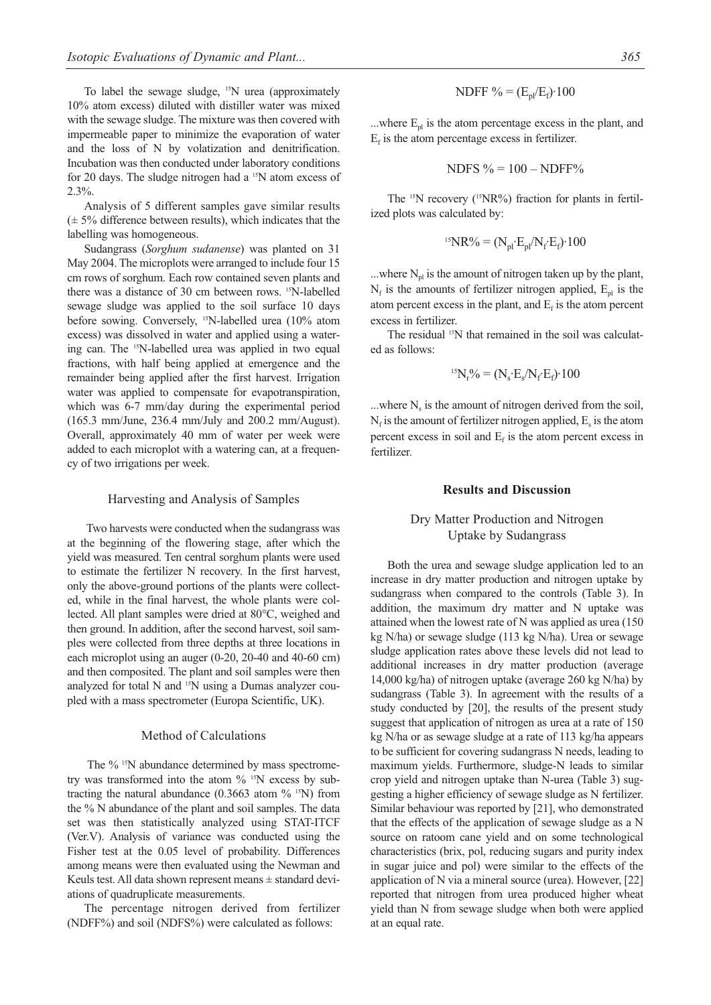To label the sewage sludge, 15N urea (approximately 10% atom excess) diluted with distiller water was mixed with the sewage sludge. The mixture was then covered with impermeable paper to minimize the evaporation of water and the loss of N by volatization and denitrification. Incubation was then conducted under laboratory conditions for 20 days. The sludge nitrogen had a 15N atom excess of 2.3%.

Analysis of 5 different samples gave similar results  $(\pm 5\%$  difference between results), which indicates that the labelling was homogeneous.

Sudangrass (*Sorghum sudanense*) was planted on 31 May 2004. The microplots were arranged to include four 15 cm rows of sorghum. Each row contained seven plants and there was a distance of 30 cm between rows. <sup>15</sup>N-labelled sewage sludge was applied to the soil surface 10 days before sowing. Conversely, <sup>15</sup>N-labelled urea (10% atom excess) was dissolved in water and applied using a watering can. The 15N-labelled urea was applied in two equal fractions, with half being applied at emergence and the remainder being applied after the first harvest. Irrigation water was applied to compensate for evapotranspiration, which was 6-7 mm/day during the experimental period (165.3 mm/June, 236.4 mm/July and 200.2 mm/August). Overall, approximately 40 mm of water per week were added to each microplot with a watering can, at a frequency of two irrigations per week.

#### Harvesting and Analysis of Samples

Two harvests were conducted when the sudangrass was at the beginning of the flowering stage, after which the yield was measured. Ten central sorghum plants were used to estimate the fertilizer N recovery. In the first harvest, only the above-ground portions of the plants were collected, while in the final harvest, the whole plants were collected. All plant samples were dried at 80°C, weighed and then ground. In addition, after the second harvest, soil samples were collected from three depths at three locations in each microplot using an auger (0-20, 20-40 and 40-60 cm) and then composited. The plant and soil samples were then analyzed for total N and 15N using a Dumas analyzer coupled with a mass spectrometer (Europa Scientific, UK).

#### Method of Calculations

The % <sup>15</sup>N abundance determined by mass spectrometry was transformed into the atom % 15N excess by subtracting the natural abundance  $(0.3663 \text{ atom } \frac{9}{6} \text{ m})$  from the % N abundance of the plant and soil samples. The data set was then statistically analyzed using STAT-ITCF (Ver.V). Analysis of variance was conducted using the Fisher test at the 0.05 level of probability. Differences among means were then evaluated using the Newman and Keuls test. All data shown represent means ± standard deviations of quadruplicate measurements.

The percentage nitrogen derived from fertilizer (NDFF%) and soil (NDFS%) were calculated as follows:

$$
NDFF \% = (E_{pl}/E_f) \cdot 100
$$

...where  $E_{\text{pl}}$  is the atom percentage excess in the plant, and  $E<sub>f</sub>$  is the atom percentage excess in fertilizer.

$$
NDFS \% = 100 - NDFF\%
$$

The <sup>15</sup>N recovery (<sup>15</sup>NR%) fraction for plants in fertilized plots was calculated by:

$$
{}^{15}NR\% = (N_{pl} \cdot E_{pl}/N_f \cdot E_f) \cdot 100
$$

...where  $N_{pl}$  is the amount of nitrogen taken up by the plant,  $N_f$  is the amounts of fertilizer nitrogen applied,  $E_{pl}$  is the atom percent excess in the plant, and  $E_f$  is the atom percent excess in fertilizer.

The residual <sup>15</sup>N that remained in the soil was calculated as follows:

$$
{}^{15}N_r\% = (N_s \cdot E_s / N_f \cdot E_f) \cdot 100
$$

...where  $N_s$  is the amount of nitrogen derived from the soil,  $N_f$  is the amount of fertilizer nitrogen applied, E<sub>s</sub> is the atom percent excess in soil and  $E_f$  is the atom percent excess in fertilizer.

## **Results and Discussion**

## Dry Matter Production and Nitrogen Uptake by Sudangrass

Both the urea and sewage sludge application led to an increase in dry matter production and nitrogen uptake by sudangrass when compared to the controls (Table 3). In addition, the maximum dry matter and N uptake was attained when the lowest rate of N was applied as urea (150 kg N/ha) or sewage sludge (113 kg N/ha). Urea or sewage sludge application rates above these levels did not lead to additional increases in dry matter production (average 14,000 kg/ha) of nitrogen uptake (average 260 kg N/ha) by sudangrass (Table 3). In agreement with the results of a study conducted by [20], the results of the present study suggest that application of nitrogen as urea at a rate of 150 kg N/ha or as sewage sludge at a rate of 113 kg/ha appears to be sufficient for covering sudangrass N needs, leading to maximum yields. Furthermore, sludge-N leads to similar crop yield and nitrogen uptake than N-urea (Table 3) suggesting a higher efficiency of sewage sludge as N fertilizer. Similar behaviour was reported by [21], who demonstrated that the effects of the application of sewage sludge as a N source on ratoom cane yield and on some technological characteristics (brix, pol, reducing sugars and purity index in sugar juice and pol) were similar to the effects of the application of N via a mineral source (urea). However, [22] reported that nitrogen from urea produced higher wheat yield than N from sewage sludge when both were applied at an equal rate.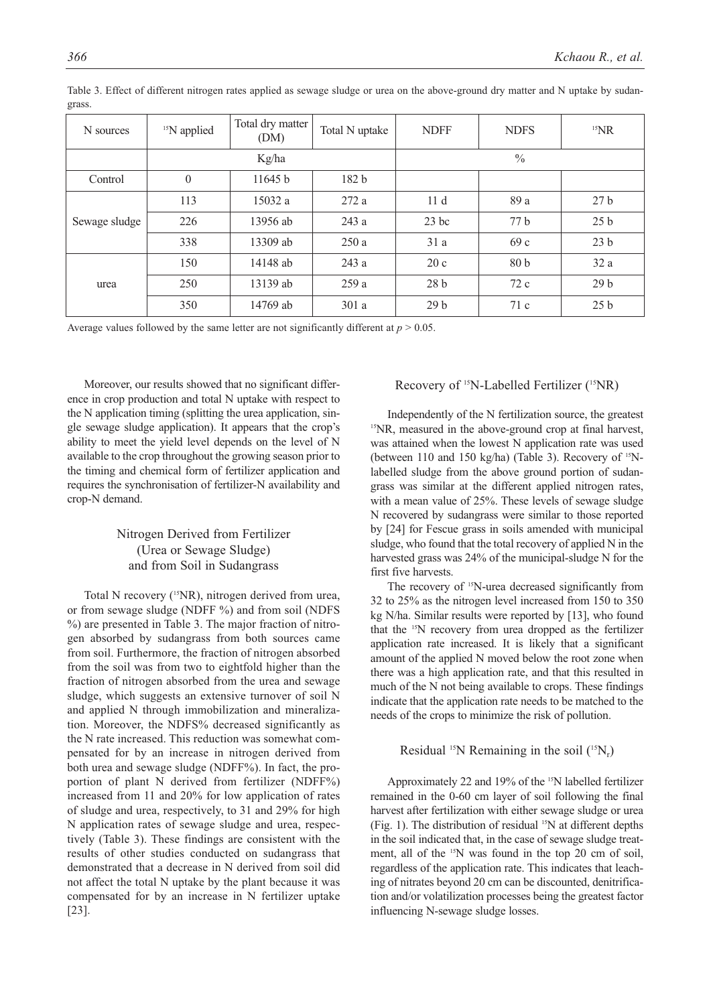| N sources     | <sup>15</sup> N applied | Total dry matter<br>(DM) | Total N uptake   | <b>NDFF</b>     | <b>NDFS</b>     | $15$ <sub>NR</sub> |
|---------------|-------------------------|--------------------------|------------------|-----------------|-----------------|--------------------|
|               | Kg/ha                   |                          |                  | $\frac{0}{0}$   |                 |                    |
| Control       | $\mathbf{0}$            | 11645 b                  | 182 <sub>b</sub> |                 |                 |                    |
| Sewage sludge | 113                     | 15032 a                  | 272a             | 11d             | 89 a            | 27 <sub>b</sub>    |
|               | 226                     | 13956 ab                 | 243a             | $23$ bc         | 77 <sub>b</sub> | 25 <sub>b</sub>    |
|               | 338                     | 13309 ab                 | 250a             | 31a             | 69c             | 23 <sub>b</sub>    |
| urea          | 150                     | 14148 ab                 | 243 a            | 20c             | 80 <sub>b</sub> | 32a                |
|               | 250                     | 13139 ab                 | 259a             | 28 <sub>b</sub> | 72c             | 29 <sub>b</sub>    |
|               | 350                     | 14769 ab                 | 301a             | 29 <sub>b</sub> | 71c             | 25 <sub>b</sub>    |

Table 3. Effect of different nitrogen rates applied as sewage sludge or urea on the above-ground dry matter and N uptake by sudangrass.

Average values followed by the same letter are not significantly different at  $p > 0.05$ .

Moreover, our results showed that no significant difference in crop production and total N uptake with respect to the N application timing (splitting the urea application, single sewage sludge application). It appears that the crop's ability to meet the yield level depends on the level of N available to the crop throughout the growing season prior to the timing and chemical form of fertilizer application and requires the synchronisation of fertilizer-N availability and crop-N demand.

## Nitrogen Derived from Fertilizer (Urea or Sewage Sludge) and from Soil in Sudangrass

Total N recovery (<sup>15</sup>NR), nitrogen derived from urea, or from sewage sludge (NDFF %) and from soil (NDFS %) are presented in Table 3. The major fraction of nitrogen absorbed by sudangrass from both sources came from soil. Furthermore, the fraction of nitrogen absorbed from the soil was from two to eightfold higher than the fraction of nitrogen absorbed from the urea and sewage sludge, which suggests an extensive turnover of soil N and applied N through immobilization and mineralization. Moreover, the NDFS% decreased significantly as the N rate increased. This reduction was somewhat compensated for by an increase in nitrogen derived from both urea and sewage sludge (NDFF%). In fact, the proportion of plant N derived from fertilizer (NDFF%) increased from 11 and 20% for low application of rates of sludge and urea, respectively, to 31 and 29% for high N application rates of sewage sludge and urea, respectively (Table 3). These findings are consistent with the results of other studies conducted on sudangrass that demonstrated that a decrease in N derived from soil did not affect the total N uptake by the plant because it was compensated for by an increase in N fertilizer uptake [23].

## Recovery of <sup>15</sup>N-Labelled Fertilizer (<sup>15</sup>NR)

Independently of the N fertilization source, the greatest 15NR, measured in the above-ground crop at final harvest, was attained when the lowest N application rate was used (between 110 and 150 kg/ha) (Table 3). Recovery of <sup>15</sup>Nlabelled sludge from the above ground portion of sudangrass was similar at the different applied nitrogen rates, with a mean value of 25%. These levels of sewage sludge N recovered by sudangrass were similar to those reported by [24] for Fescue grass in soils amended with municipal sludge, who found that the total recovery of applied N in the harvested grass was 24% of the municipal-sludge N for the first five harvests.

The recovery of <sup>15</sup>N-urea decreased significantly from 32 to 25% as the nitrogen level increased from 150 to 350 kg N/ha. Similar results were reported by [13], who found that the 15N recovery from urea dropped as the fertilizer application rate increased. It is likely that a significant amount of the applied N moved below the root zone when there was a high application rate, and that this resulted in much of the N not being available to crops. These findings indicate that the application rate needs to be matched to the needs of the crops to minimize the risk of pollution.

## Residual <sup>15</sup>N Remaining in the soil  $(^{15}N_r)$

Approximately 22 and 19% of the <sup>15</sup>N labelled fertilizer remained in the 0-60 cm layer of soil following the final harvest after fertilization with either sewage sludge or urea (Fig. 1). The distribution of residual 15N at different depths in the soil indicated that, in the case of sewage sludge treatment, all of the <sup>15</sup>N was found in the top 20 cm of soil, regardless of the application rate. This indicates that leaching of nitrates beyond 20 cm can be discounted, denitrification and/or volatilization processes being the greatest factor influencing N-sewage sludge losses.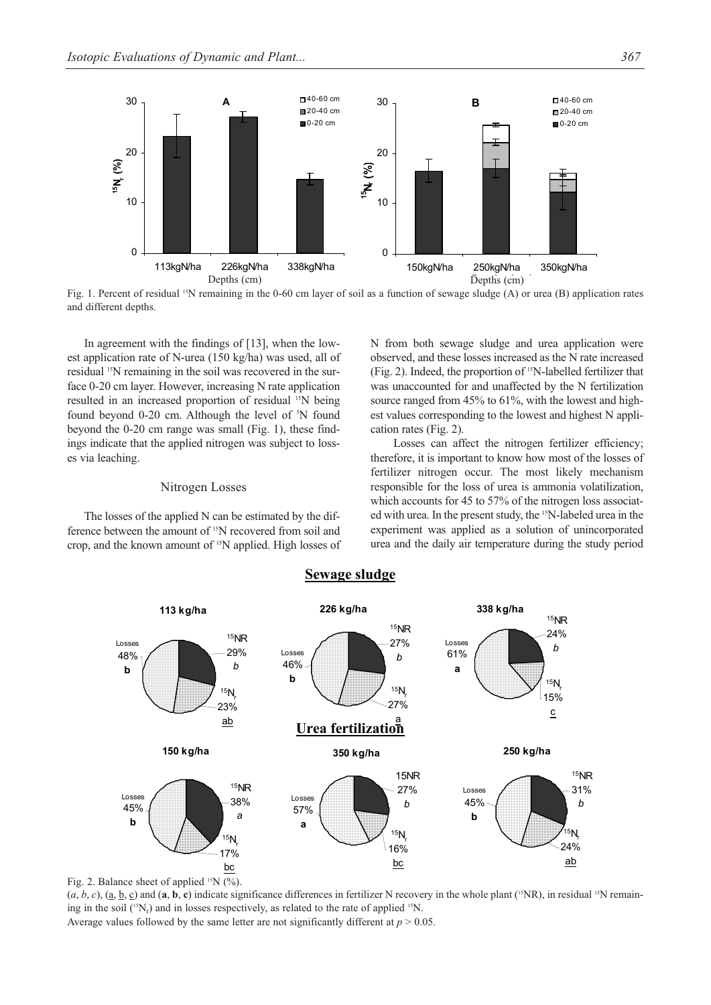

Fig. 1. Percent of residual <sup>15</sup>N remaining in the 0-60 cm layer of soil as a function of sewage sludge (A) or urea (B) application rates and different depths.

In agreement with the findings of [13], when the lowest application rate of N-urea (150 kg/ha) was used, all of residual 15N remaining in the soil was recovered in the surface 0-20 cm layer. However, increasing N rate application resulted in an increased proportion of residual 15N being found beyond 0-20 cm. Although the level of <sup>5</sup>N found beyond the 0-20 cm range was small (Fig. 1), these findings indicate that the applied nitrogen was subject to losses via leaching.

#### Nitrogen Losses

The losses of the applied N can be estimated by the difference between the amount of 15N recovered from soil and crop, and the known amount of 15N applied. High losses of N from both sewage sludge and urea application were observed, and these losses increased as the N rate increased (Fig. 2). Indeed, the proportion of 15N-labelled fertilizer that was unaccounted for and unaffected by the N fertilization source ranged from 45% to 61%, with the lowest and highest values corresponding to the lowest and highest N application rates (Fig. 2).

Losses can affect the nitrogen fertilizer efficiency; therefore, it is important to know how most of the losses of fertilizer nitrogen occur. The most likely mechanism responsible for the loss of urea is ammonia volatilization, which accounts for 45 to 57% of the nitrogen loss associated with urea. In the present study, the 15N-labeled urea in the experiment was applied as a solution of unincorporated urea and the daily air temperature during the study period



## **Sewage sludge**

Fig. 2. Balance sheet of applied  $15N$  (%).

 $(a, b, c)$ ,  $(\underline{a}, \underline{b}, \underline{c})$  and  $(\underline{a}, \underline{b}, \underline{c})$  indicate significance differences in fertilizer N recovery in the whole plant (<sup>15</sup>NR), in residual <sup>15</sup>N remaining in the soil  $(^{15}N_r)$  and in losses respectively, as related to the rate of applied  $^{15}N$ . Average values followed by the same letter are not significantly different at  $p > 0.05$ .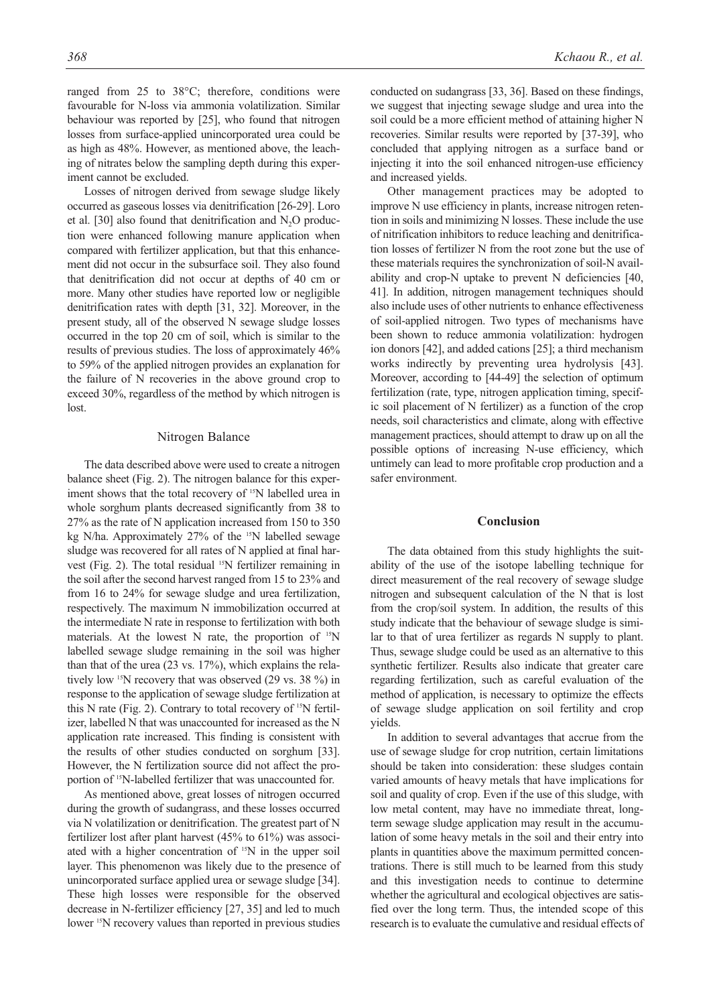ranged from 25 to 38°C; therefore, conditions were favourable for N-loss via ammonia volatilization. Similar behaviour was reported by [25], who found that nitrogen losses from surface-applied unincorporated urea could be as high as 48%. However, as mentioned above, the leaching of nitrates below the sampling depth during this experiment cannot be excluded.

Losses of nitrogen derived from sewage sludge likely occurred as gaseous losses via denitrification [26-29]. Loro et al.  $[30]$  also found that denitrification and  $N<sub>2</sub>O$  production were enhanced following manure application when compared with fertilizer application, but that this enhancement did not occur in the subsurface soil. They also found that denitrification did not occur at depths of 40 cm or more. Many other studies have reported low or negligible denitrification rates with depth [31, 32]. Moreover, in the present study, all of the observed N sewage sludge losses occurred in the top 20 cm of soil, which is similar to the results of previous studies. The loss of approximately 46% to 59% of the applied nitrogen provides an explanation for the failure of N recoveries in the above ground crop to exceed 30%, regardless of the method by which nitrogen is lost.

#### Nitrogen Balance

The data described above were used to create a nitrogen balance sheet (Fig. 2). The nitrogen balance for this experiment shows that the total recovery of <sup>15</sup>N labelled urea in whole sorghum plants decreased significantly from 38 to 27% as the rate of N application increased from 150 to 350 kg N/ha. Approximately 27% of the <sup>15</sup>N labelled sewage sludge was recovered for all rates of N applied at final harvest (Fig. 2). The total residual <sup>15</sup>N fertilizer remaining in the soil after the second harvest ranged from 15 to 23% and from 16 to 24% for sewage sludge and urea fertilization, respectively. The maximum N immobilization occurred at the intermediate N rate in response to fertilization with both materials. At the lowest N rate, the proportion of  $15N$ labelled sewage sludge remaining in the soil was higher than that of the urea (23 vs. 17%), which explains the relatively low 15N recovery that was observed (29 vs. 38 %) in response to the application of sewage sludge fertilization at this N rate (Fig. 2). Contrary to total recovery of  $15N$  fertilizer, labelled N that was unaccounted for increased as the N application rate increased. This finding is consistent with the results of other studies conducted on sorghum [33]. However, the N fertilization source did not affect the proportion of 15N-labelled fertilizer that was unaccounted for.

As mentioned above, great losses of nitrogen occurred during the growth of sudangrass, and these losses occurred via N volatilization or denitrification. The greatest part of N fertilizer lost after plant harvest (45% to 61%) was associated with a higher concentration of 15N in the upper soil layer. This phenomenon was likely due to the presence of unincorporated surface applied urea or sewage sludge [34]. These high losses were responsible for the observed decrease in N-fertilizer efficiency [27, 35] and led to much lower <sup>15</sup>N recovery values than reported in previous studies conducted on sudangrass [33, 36]. Based on these findings, we suggest that injecting sewage sludge and urea into the soil could be a more efficient method of attaining higher N recoveries. Similar results were reported by [37-39], who concluded that applying nitrogen as a surface band or injecting it into the soil enhanced nitrogen-use efficiency and increased yields.

Other management practices may be adopted to improve N use efficiency in plants, increase nitrogen retention in soils and minimizing N losses. These include the use of nitrification inhibitors to reduce leaching and denitrification losses of fertilizer N from the root zone but the use of these materials requires the synchronization of soil-N availability and crop-N uptake to prevent N deficiencies [40, 41]. In addition, nitrogen management techniques should also include uses of other nutrients to enhance effectiveness of soil-applied nitrogen. Two types of mechanisms have been shown to reduce ammonia volatilization: hydrogen ion donors [42], and added cations [25]; a third mechanism works indirectly by preventing urea hydrolysis [43]. Moreover, according to [44-49] the selection of optimum fertilization (rate, type, nitrogen application timing, specific soil placement of N fertilizer) as a function of the crop needs, soil characteristics and climate, along with effective management practices, should attempt to draw up on all the possible options of increasing N-use efficiency, which untimely can lead to more profitable crop production and a safer environment.

#### **Conclusion**

The data obtained from this study highlights the suitability of the use of the isotope labelling technique for direct measurement of the real recovery of sewage sludge nitrogen and subsequent calculation of the N that is lost from the crop/soil system. In addition, the results of this study indicate that the behaviour of sewage sludge is similar to that of urea fertilizer as regards N supply to plant. Thus, sewage sludge could be used as an alternative to this synthetic fertilizer. Results also indicate that greater care regarding fertilization, such as careful evaluation of the method of application, is necessary to optimize the effects of sewage sludge application on soil fertility and crop yields.

In addition to several advantages that accrue from the use of sewage sludge for crop nutrition, certain limitations should be taken into consideration: these sludges contain varied amounts of heavy metals that have implications for soil and quality of crop. Even if the use of this sludge, with low metal content, may have no immediate threat, longterm sewage sludge application may result in the accumulation of some heavy metals in the soil and their entry into plants in quantities above the maximum permitted concentrations. There is still much to be learned from this study and this investigation needs to continue to determine whether the agricultural and ecological objectives are satisfied over the long term. Thus, the intended scope of this research is to evaluate the cumulative and residual effects of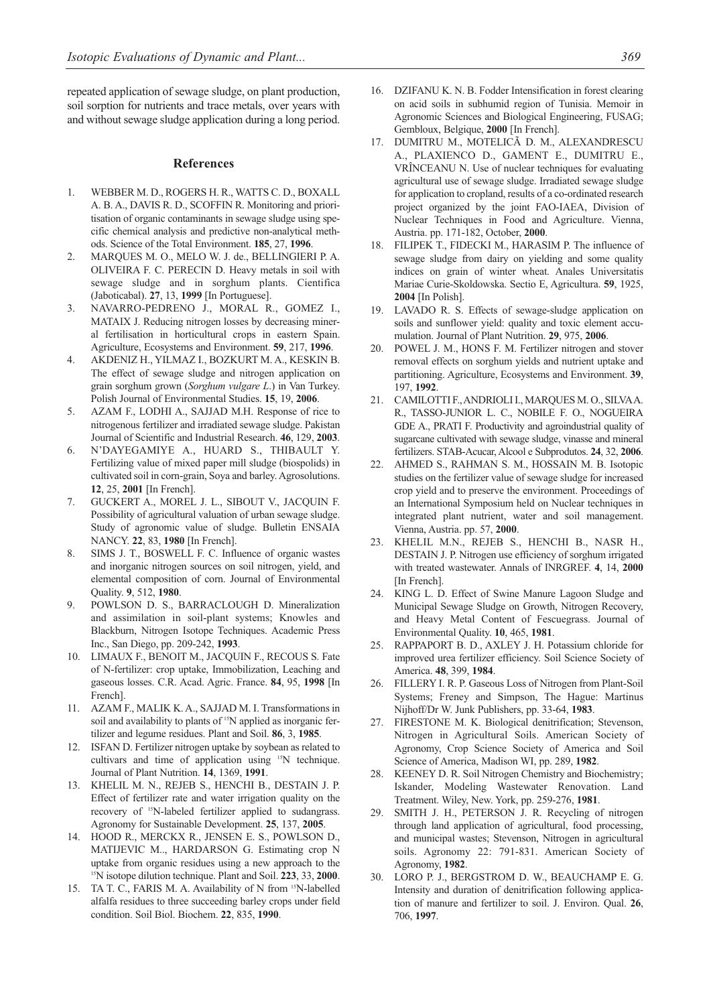repeated application of sewage sludge, on plant production, soil sorption for nutrients and trace metals, over years with and without sewage sludge application during a long period.

#### **References**

- 1. WEBBER M. D., ROGERS H. R., WATTS C. D., BOXALL A. B. A., DAVIS R. D., SCOFFIN R. Monitoring and prioritisation of organic contaminants in sewage sludge using specific chemical analysis and predictive non-analytical methods. Science of the Total Environment. **185**, 27, **1996**.
- 2. MARQUES M. O., MELO W. J. de., BELLINGIERI P. A. OLIVEIRA F. C. PERECIN D. Heavy metals in soil with sewage sludge and in sorghum plants. Cientifica (Jaboticabal). **27**, 13, **1999** [In Portuguese].
- 3. NAVARRO-PEDRENO J., MORAL R., GOMEZ I., MATAIX J. Reducing nitrogen losses by decreasing mineral fertilisation in horticultural crops in eastern Spain. Agriculture, Ecosystems and Environment. **59**, 217, **1996**.
- 4. AKDENIZ H., YILMAZ I., BOZKURT M. A., KESKIN B. The effect of sewage sludge and nitrogen application on grain sorghum grown (*Sorghum vulgare L*.) in Van Turkey. Polish Journal of Environmental Studies. **15**, 19, **2006**.
- 5. AZAM F., LODHI A., SAJJAD M.H. Response of rice to nitrogenous fertilizer and irradiated sewage sludge. Pakistan Journal of Scientific and Industrial Research. **46**, 129, **2003**.
- 6. N'DAYEGAMIYE A., HUARD S., THIBAULT Y. Fertilizing value of mixed paper mill sludge (biospolids) in cultivated soil in corn-grain, Soya and barley. Agrosolutions. **12**, 25, **2001** [In French].
- 7. GUCKERT A., MOREL J. L., SIBOUT V., JACQUIN F. Possibility of agricultural valuation of urban sewage sludge. Study of agronomic value of sludge. Bulletin ENSAIA NANCY. **22**, 83, **1980** [In French].
- 8. SIMS J. T., BOSWELL F. C. Influence of organic wastes and inorganic nitrogen sources on soil nitrogen, yield, and elemental composition of corn. Journal of Environmental Quality. **9**, 512, **1980**.
- 9. POWLSON D. S., BARRACLOUGH D. Mineralization and assimilation in soil-plant systems; Knowles and Blackburn, Nitrogen Isotope Techniques. Academic Press Inc., San Diego, pp. 209-242, **1993**.
- 10. LIMAUX F., BENOIT M., JACQUIN F., RECOUS S. Fate of N-fertilizer: crop uptake, Immobilization, Leaching and gaseous losses. C.R. Acad. Agric. France. **84**, 95, **1998** [In French].
- 11. AZAM F., MALIK K. A., SAJJAD M. I. Transformations in soil and availability to plants of <sup>15</sup>N applied as inorganic fertilizer and legume residues. Plant and Soil. **86**, 3, **1985**.
- 12. ISFAN D. Fertilizer nitrogen uptake by soybean as related to cultivars and time of application using 15N technique. Journal of Plant Nutrition. **14**, 1369, **1991**.
- 13. KHELIL M. N., REJEB S., HENCHI B., DESTAIN J. P. Effect of fertilizer rate and water irrigation quality on the recovery of 15N-labeled fertilizer applied to sudangrass. Agronomy for Sustainable Development. **25**, 137, **2005**.
- 14. HOOD R., MERCKX R., JENSEN E. S., POWLSON D., MATIJEVIC M.., HARDARSON G. Estimating crop N uptake from organic residues using a new approach to the 15N isotope dilution technique. Plant and Soil. **223**, 33, **2000**.
- 15. TA T. C., FARIS M. A. Availability of N from 15N-labelled alfalfa residues to three succeeding barley crops under field condition. Soil Biol. Biochem. **22**, 835, **1990**.
- 16. DZIFANU K. N. B. Fodder Intensification in forest clearing on acid soils in subhumid region of Tunisia. Memoir in Agronomic Sciences and Biological Engineering, FUSAG; Gembloux, Belgique, **2000** [In French].
- 17. DUMITRU M., MOTELICÃ D. M., ALEXANDRESCU A., PLAXIENCO D., GAMENT E., DUMITRU E., VRÎNCEANU N. Use of nuclear techniques for evaluating agricultural use of sewage sludge. Irradiated sewage sludge for application to cropland, results of a co-ordinated research project organized by the joint FAO-IAEA, Division of Nuclear Techniques in Food and Agriculture. Vienna, Austria. pp. 171-182, October, **2000**.
- 18. FILIPEK T., FIDECKI M., HARASIM P. The influence of sewage sludge from dairy on yielding and some quality indices on grain of winter wheat. Anales Universitatis Mariae Curie-Skoldowska. Sectio E, Agricultura. **59**, 1925, **2004** [In Polish].
- 19. LAVADO R. S. Effects of sewage-sludge application on soils and sunflower yield: quality and toxic element accumulation. Journal of Plant Nutrition. **29**, 975, **2006**.
- 20. POWEL J. M., HONS F. M. Fertilizer nitrogen and stover removal effects on sorghum yields and nutrient uptake and partitioning. Agriculture, Ecosystems and Environment. **39**, 197, **1992**.
- 21. CAMILOTTI F., ANDRIOLI I., MARQUES M. O., SILVA A. R., TASSO-JUNIOR L. C., NOBILE F. O., NOGUEIRA GDE A., PRATI F. Productivity and agroindustrial quality of sugarcane cultivated with sewage sludge, vinasse and mineral fertilizers. STAB-Acucar, Alcool e Subprodutos. **24**, 32, **2006**.
- 22. AHMED S., RAHMAN S. M., HOSSAIN M. B. Isotopic studies on the fertilizer value of sewage sludge for increased crop yield and to preserve the environment. Proceedings of an International Symposium held on Nuclear techniques in integrated plant nutrient, water and soil management. Vienna, Austria. pp. 57, **2000**.
- 23. KHELIL M.N., REJEB S., HENCHI B., NASR H., DESTAIN J. P. Nitrogen use efficiency of sorghum irrigated with treated wastewater. Annals of INRGREF. **4**, 14, **2000** [In French].
- 24. KING L. D. Effect of Swine Manure Lagoon Sludge and Municipal Sewage Sludge on Growth, Nitrogen Recovery, and Heavy Metal Content of Fescuegrass. Journal of Environmental Quality. **10**, 465, **1981**.
- 25. RAPPAPORT B. D., AXLEY J. H. Potassium chloride for improved urea fertilizer efficiency. Soil Science Society of America. **48**, 399, **1984**.
- 26. FILLERY I. R. P. Gaseous Loss of Nitrogen from Plant-Soil Systems; Freney and Simpson, The Hague: Martinus Nijhoff/Dr W. Junk Publishers, pp. 33-64, **1983**.
- 27. FIRESTONE M. K. Biological denitrification; Stevenson, Nitrogen in Agricultural Soils. American Society of Agronomy, Crop Science Society of America and Soil Science of America, Madison WI, pp. 289, **1982**.
- 28. KEENEY D. R. Soil Nitrogen Chemistry and Biochemistry; Iskander, Modeling Wastewater Renovation. Land Treatment. Wiley, New. York, pp. 259-276, **1981**.
- 29. SMITH J. H., PETERSON J. R. Recycling of nitrogen through land application of agricultural, food processing, and municipal wastes; Stevenson, Nitrogen in agricultural soils. Agronomy 22: 791-831. American Society of Agronomy, **1982**.
- LORO P. J., BERGSTROM D. W., BEAUCHAMP E. G. Intensity and duration of denitrification following application of manure and fertilizer to soil. J. Environ. Qual. **26**, 706, **1997**.